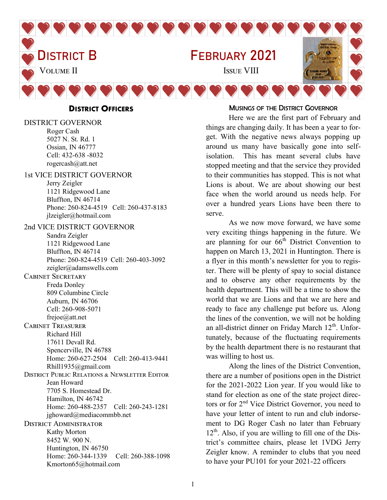

**DISTRICT OFFICERS**

DISTRICT GOVERNOR Roger Cash 5027 N. St. Rd. 1 Ossian, IN 46777 Cell: 432-638 -8032 rogercash@att.net

#### 1st VICE DISTRICT GOVERNOR

Jerry Zeigler 1121 Ridgewood Lane Bluffton, IN 46714 Phone: 260-824-4519 Cell: 260-437-8183 jlzeigler@hotmail.com

2nd VICE DISTRICT GOVERNOR Sandra Zeigler 1121 Ridgewood Lane Bluffton, IN 46714 Phone: 260-824-4519 Cell: 260-403-3092 zeigler@adamswells.com Cabinet Secretary Freda Donley 809 Columbine Circle Auburn, IN 46706 Cell: 260-908-5071 frejoe@att.net Cabinet Treasurer Richard Hill 17611 Devall Rd. Spencerville, IN 46788 Home: 260-627-2504 Cell: 260-413-9441 Rhill1935@gmail.com District Public Relations & Newsletter Editor Jean Howard 7705 S. Homestead Dr. Hamilton, IN 46742 Home: 260-488-2357 Cell: 260-243-1281 jghoward@mediacommbb.net District Administrator Kathy Morton 8452 W. 900 N. Huntington, IN 46750 Home: 260-344-1339 Cell: 260-388-1098 Kmorton65@hotmail.com

#### MUSINGS OF THE DISTRICT GOVERNOR

Here we are the first part of February and things are changing daily. It has been a year to forget. With the negative news always popping up around us many have basically gone into selfisolation. This has meant several clubs have stopped meeting and that the service they provided to their communities has stopped. This is not what Lions is about. We are about showing our best face when the world around us needs help. For over a hundred years Lions have been there to serve.

As we now move forward, we have some very exciting things happening in the future. We are planning for our  $66<sup>th</sup>$  District Convention to happen on March 13, 2021 in Huntington. There is a flyer in this month's newsletter for you to register. There will be plenty of spay to social distance and to observe any other requirements by the health department. This will be a time to show the world that we are Lions and that we are here and ready to face any challenge put before us. Along the lines of the convention, we will not be holding an all-district dinner on Friday March  $12<sup>th</sup>$ . Unfortunately, because of the fluctuating requirements by the health department there is no restaurant that was willing to host us.

Along the lines of the District Convention, there are a number of positions open in the District for the 2021-2022 Lion year. If you would like to stand for election as one of the state project directors or for 2<sup>nd</sup> Vice District Governor, you need to have your letter of intent to run and club indorsement to DG Roger Cash no later than February  $12<sup>th</sup>$ . Also, if you are willing to fill one of the District's committee chairs, please let 1VDG Jerry Zeigler know. A reminder to clubs that you need to have your PU101 for your 2021-22 officers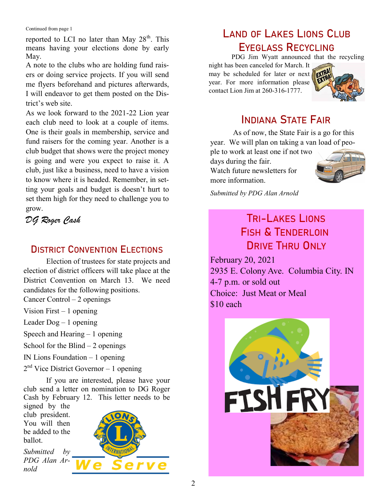Continued from page 1

reported to LCI no later than May  $28<sup>th</sup>$ . This means having your elections done by early May.

A note to the clubs who are holding fund raisers or doing service projects. If you will send me flyers beforehand and pictures afterwards, I will endeavor to get them posted on the District's web site.

As we look forward to the 2021-22 Lion year each club need to look at a couple of items. One is their goals in membership, service and fund raisers for the coming year. Another is a club budget that shows were the project money is going and were you expect to raise it. A club, just like a business, need to have a vision to know where it is headed. Remember, in setting your goals and budget is doesn't hurt to set them high for they need to challenge you to grow.

*DG Roger Cash*

#### DISTRICT CONVENTION ELECTIONS

Election of trustees for state projects and election of district officers will take place at the District Convention on March 13. We need candidates for the following positions. Cancer Control – 2 openings

Vision First  $-1$  opening

Leader Dog – 1 opening

Speech and Hearing – 1 opening

School for the Blind  $-2$  openings

IN Lions Foundation – 1 opening

2<sup>nd</sup> Vice District Governor – 1 opening

If you are interested, please have your club send a letter on nomination to DG Roger Cash by February 12. This letter needs to be

signed by the club president. You will then be added to the ballot.

*Submitted by PDG Alan Arnold*



## LAND OF LAKES LIONS CLUB EYEGLASS RECYCLING

PDG Jim Wyatt announced that the recycling

night has been canceled for March. It may be scheduled for later or next **FXII** year. For more information please contact Lion Jim at 260-316-1777.



## INDIANA STATE FAIR

As of now, the State Fair is a go for this year. We will plan on taking a van load of peo-

ple to work at least one if not two days during the fair. Watch future newsletters for more information.



*Submitted by PDG Alan Arnold* 

## TRI-LAKES LIONS FISH & TENDERLOIN DRIVE THRU ONLY

February 20, 2021 2935 E. Colony Ave. Columbia City. IN 4-7 p.m. or sold out Choice: Just Meat or Meal \$10 each

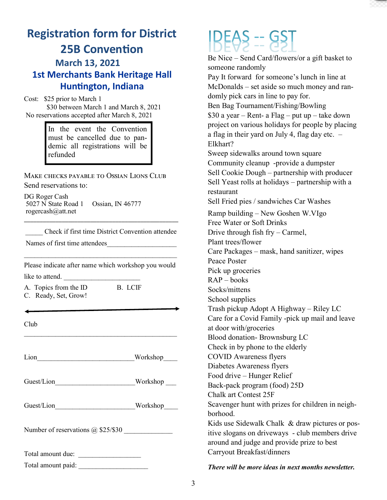

## **Registration form for District 25B Convention March 13, 2021 1st Merchants Bank Heritage Hall Huntington, Indiana**

Cost: \$25 prior to March 1 \$30 between March 1 and March 8, 2021 No reservations accepted after March 8, 2021

> In the event the Convention must be cancelled due to pandemic all registrations will be refunded

MAKE CHECKS PAYABLE TO OSSIAN LIONS CLUB Send reservations to:

DG Roger Cash 5027 N State Road 1 Ossian, IN 46777 rogercash@att.net

\_\_\_\_\_ Check if first time District Convention attendee

\_\_\_\_\_\_\_\_\_\_\_\_\_\_\_\_\_\_\_\_\_\_\_\_\_\_\_\_\_\_\_\_\_\_\_\_\_\_\_\_\_\_\_\_\_\_\_\_\_

Names of first time attendees

Please indicate after name which workshop you would like to attend.

 $\mathcal{L}_\text{max}$  and the contract of the contract of the contract of the contract of the contract of the contract of the contract of the contract of the contract of the contract of the contract of the contract of the contrac

A. Topics from the ID B. LCIF C. Ready, Set, Grow!

Club

Lion Workshop

\_\_\_\_\_\_\_\_\_\_\_\_\_\_\_\_\_\_\_\_\_\_\_\_\_\_\_\_\_\_\_\_\_\_\_\_\_\_\_\_\_\_\_\_

Guest/Lion Workshop

Guest/Lion Workshop

Number of reservations @ \$25/\$30 \_\_\_\_\_\_\_\_\_\_\_\_\_\_

Total amount due: \_\_\_\_\_\_\_\_\_\_\_\_\_\_\_\_\_\_

Total amount paid:

# $IBE45 = 95$

Be Nice – Send Card/flowers/or a gift basket to someone randomly Pay It forward for someone's lunch in line at McDonalds – set aside so much money and randomly pick cars in line to pay for. Ben Bag Tournament/Fishing/Bowling \$30 a year – Rent- a Flag – put up – take down project on various holidays for people by placing a flag in their yard on July 4, flag day etc. – Elkhart? Sweep sidewalks around town square Community cleanup -provide a dumpster Sell Cookie Dough – partnership with producer Sell Yeast rolls at holidays – partnership with a restaurant Sell Fried pies / sandwiches Car Washes Ramp building – New Goshen W.VIgo Free Water or Soft Drinks Drive through fish fry – Carmel, Plant trees/flower Care Packages – mask, hand sanitizer, wipes Peace Poster Pick up groceries  $RAP -$ books Socks/mittens School supplies Trash pickup Adopt A Highway – Riley LC Care for a Covid Family -pick up mail and leave at door with/groceries Blood donation- Brownsburg LC Check in by phone to the elderly COVID Awareness flyers Diabetes Awareness flyers Food drive – Hunger Relief Back-pack program (food) 25D Chalk art Contest 25F Scavenger hunt with prizes for children in neighborhood. Kids use Sidewalk Chalk & draw pictures or positive slogans on driveways - club members drive around and judge and provide prize to best Carryout Breakfast/dinners

*There will be more ideas in next months newsletter.*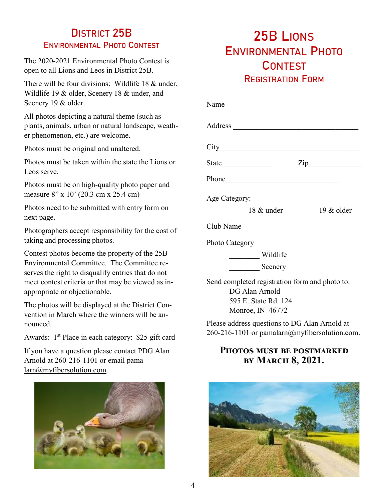#### DISTRICT 25B ENVIRONMENTAL PHOTO CONTEST

The 2020-2021 Environmental Photo Contest is open to all Lions and Leos in District 25B.

There will be four divisions: Wildlife 18 & under, Wildlife 19 & older, Scenery 18 & under, and Scenery 19 & older.

All photos depicting a natural theme (such as plants, animals, urban or natural landscape, weather phenomenon, etc.) are welcome.

Photos must be original and unaltered.

Photos must be taken within the state the Lions or Leos serve.

Photos must be on high-quality photo paper and measure 8" x 10" (20.3 cm x 25.4 cm)

Photos need to be submitted with entry form on next page.

Photographers accept responsibility for the cost of taking and processing photos.

Contest photos become the property of the 25B Environmental Committee. The Committee reserves the right to disqualify entries that do not meet contest criteria or that may be viewed as inappropriate or objectionable.

The photos will be displayed at the District Convention in March where the winners will be announced.

Awards:  $1<sup>st</sup>$  Place in each category: \$25 gift card

If you have a question please contact PDG Alan Arnold at 260-216-1101 or email [pama](mailto:pamalarn@myfibersolution.com)[larn@myfibersolution.com.](mailto:pamalarn@myfibersolution.com)



## 25B LIONS ENVIRONMENTAL PHOTO **CONTEST** REGISTRATION FORM

| $\mathsf{Zip}\_$                                                 |
|------------------------------------------------------------------|
|                                                                  |
| Age Category:                                                    |
| 18 & under 19 & older                                            |
| Club Name                                                        |
| Photo Category                                                   |
| Wildlife                                                         |
| Scenery                                                          |
| Send completed registration form and photo to:<br>DG Alan Arnold |
| 595 E. State Rd. 124                                             |

Monroe, IN 46772

Please address questions to DG Alan Arnold at 260-216-1101 or [pamalarn@myfibersolution.com.](mailto:pamalarn@myfibersolution.com)

#### **Photos must be postmarked by March 8, 2021.**

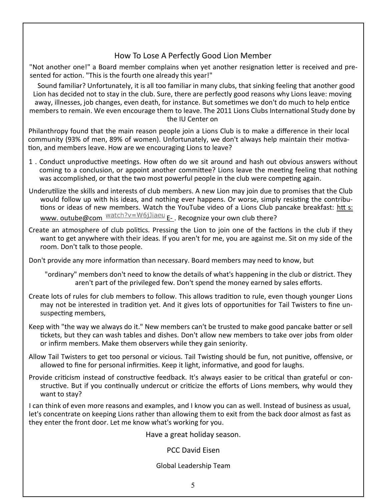#### How To Lose A Perfectly Good Lion Member

"Not another one!" a Board member complains when yet another resignation letter is received and presented for action. "This is the fourth one already this year!"

Sound familiar? Unfortunately, it is all too familiar in many clubs, that sinking feeling that another good Lion has decided not to stay in the club. Sure, there are perfectly good reasons why Lions leave: moving away, illnesses, job changes, even death, for instance. But sometimes we don't do much to help entice members to remain. We even encourage them to leave. The 2011 Lions Clubs International Study done by the IU Center on

Philanthropy found that the main reason people join a Lions Club is to make a difference in their local community (93% of men, 89% of women). Unfortunately, we don't always help maintain their motivation, and members leave. How are we encouraging Lions to leave?

- 1 . Conduct unproductive meetings. How often do we sit around and hash out obvious answers without coming to a conclusion, or appoint another committee? Lions leave the meeting feeling that nothing was accomplished, or that the two most powerful people in the club were competing again.
- Underutilize the skills and interests of club members. A new Lion may join due to promises that the Club would follow up with his ideas, and nothing ever happens. Or worse, simply resisting the contributions or ideas of new members. Watch the YouTube video of a Lions Club pancake breakfast: htt s: www. outube@com  $\frac{\text{watch?v} = \text{W6jJiaeu}}{E}$ . Recognize your own club there?
- Create an atmosphere of club politics. Pressing the Lion to join one of the factions in the club if they want to get anywhere with their ideas. If you aren't for me, you are against me. Sit on my side of the room. Don't talk to those people.

Don't provide any more information than necessary. Board members may need to know, but

"ordinary" members don't need to know the details of what's happening in the club or district. They aren't part of the privileged few. Don't spend the money earned by sales efforts.

- Create lots of rules for club members to follow. This allows tradition to rule, even though younger Lions may not be interested in tradition yet. And it gives lots of opportunities for Tail Twisters to fine unsuspecting members,
- Keep with "the way we always do it." New members can't be trusted to make good pancake batter or sell tickets, but they can wash tables and dishes. Don't allow new members to take over jobs from older or infirm members. Make them observers while they gain seniority.
- Allow Tail Twisters to get too personal or vicious. Tail Twisting should be fun, not punitive, offensive, or allowed to fine for personal infirmities. Keep it light, informative, and good for laughs.
- Provide criticism instead of constructive feedback. It's always easier to be critical than grateful or constructive. But if you continually undercut or criticize the efforts of Lions members, why would they want to stay?

I can think of even more reasons and examples, and I know you can as well. Instead of business as usual, let's concentrate on keeping Lions rather than allowing them to exit from the back door almost as fast as they enter the front door. Let me know what's working for you.

Have a great holiday season.

PCC David Eisen

Global Leadership Team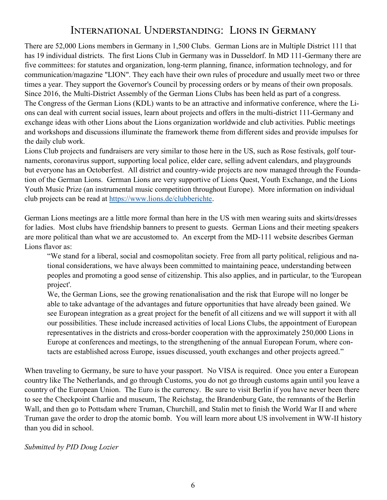#### International Understanding: Lions in Germany

There are 52,000 Lions members in Germany in 1,500 Clubs. German Lions are in Multiple District 111 that has 19 individual districts. The first Lions Club in Germany was in Dusseldorf. In MD 111-Germany there are five committees: for statutes and organization, long-term planning, finance, information technology, and for communication/magazine "LION". They each have their own rules of procedure and usually meet two or three times a year. They support the Governor's Council by processing orders or by means of their own proposals. Since 2016, the Multi-District Assembly of the German Lions Clubs has been held as part of a congress. The [Congress of the German Lions \(KDL\)](https://www.lions.de/web/kdl-2021) wants to be an attractive and informative conference, where the Lions can deal with current social issues, learn about projects and offers in the multi-district 111-Germany and exchange ideas with other Lions about the Lions organization worldwide and club activities. Public meetings and workshops and discussions illuminate the framework theme from different sides and provide impulses for the daily club work.

Lions Club projects and fundraisers are very similar to those here in the US, such as Rose festivals, golf tournaments, coronavirus support, supporting local police, elder care, selling advent calendars, and playgrounds but everyone has an Octoberfest. All district and country-wide projects are now managed through the Foundation of the German Lions. German Lions are very supportive of Lions Quest, Youth Exchange, and the Lions Youth Music Prize (an instrumental music competition throughout Europe). More information on individual club projects can be read at [https://www.lions.de/clubberichte.](https://www.lions.de/clubberichte)

German Lions meetings are a little more formal than here in the US with men wearing suits and skirts/dresses for ladies. Most clubs have friendship banners to present to guests. German Lions and their meeting speakers are more political than what we are accustomed to. An excerpt from the MD-111 website describes German Lions flavor as:

"We stand for a liberal, social and cosmopolitan society. Free from all party political, religious and national considerations, we have always been committed to maintaining peace, understanding between peoples and promoting a good sense of citizenship. This also applies, and in particular, to the 'European project'.

We, the German Lions, see the growing renationalisation and the risk that Europe will no longer be able to take advantage of the advantages and future opportunities that have already been gained. We see European integration as a great project for the benefit of all citizens and we will support it with all our possibilities. These include increased activities of local Lions Clubs, the appointment of European representatives in the districts and cross-border cooperation with the approximately 250,000 Lions in Europe at conferences and meetings, to the strengthening of the annual European Forum, where contacts are established across Europe, issues discussed, youth exchanges and other projects agreed."

When traveling to Germany, be sure to have your passport. No VISA is required. Once you enter a European country like The Netherlands, and go through Customs, you do not go through customs again until you leave a country of the European Union. The Euro is the currency. Be sure to visit Berlin if you have never been there to see the Checkpoint Charlie and museum, The Reichstag, the Brandenburg Gate, the remnants of the Berlin Wall, and then go to Pottsdam where Truman, Churchill, and Stalin met to finish the World War II and where Truman gave the order to drop the atomic bomb. You will learn more about US involvement in WW-II history than you did in school.

#### *Submitted by PID Doug Lozier*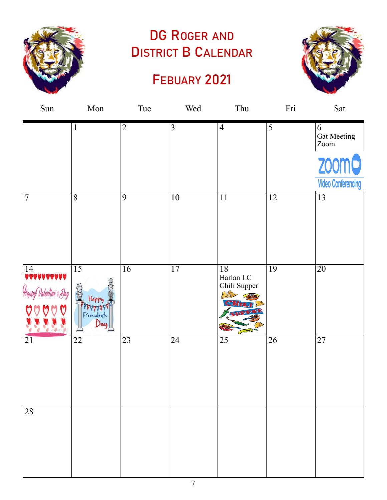

# DG ROGER AND DISTRICT B CALENDAR

## FEBUARY 2021



| Sun                                                                                 | Mon                                                           | Tue             | Wed             | Thu                                           | Fri             | Sat                                              |
|-------------------------------------------------------------------------------------|---------------------------------------------------------------|-----------------|-----------------|-----------------------------------------------|-----------------|--------------------------------------------------|
|                                                                                     | $\mathbf{1}$                                                  | $\overline{2}$  | $\overline{3}$  | $\overline{4}$                                | 5               | 6<br><b>Gat Meeting</b><br>$\operatorname{Zoom}$ |
|                                                                                     |                                                               |                 |                 |                                               |                 | <b>ZOOM</b>                                      |
|                                                                                     |                                                               |                 |                 |                                               |                 | <b>Video Conferencing</b>                        |
| $\overline{7}$                                                                      | $\overline{8}$                                                | $\overline{9}$  | 10              | 11                                            | 12              | $\overline{13}$                                  |
| $\begin{array}{ c c }\n\hline\n14 & \text{VUVUVVVVV} \\ \hline\n\end{array}$<br>Hap | $\overline{15}$<br>Happy<br><b>AAAAA</b><br>Presidents<br>Dau | 16              | 17              | 18<br>Harlan LC<br>Chili Supper<br><b>D.P</b> | 19              | 20                                               |
| 21                                                                                  | 22                                                            | $\overline{23}$ | $\overline{24}$ | 25                                            | $\overline{26}$ | $\overline{27}$                                  |
| 28                                                                                  |                                                               |                 |                 |                                               |                 |                                                  |